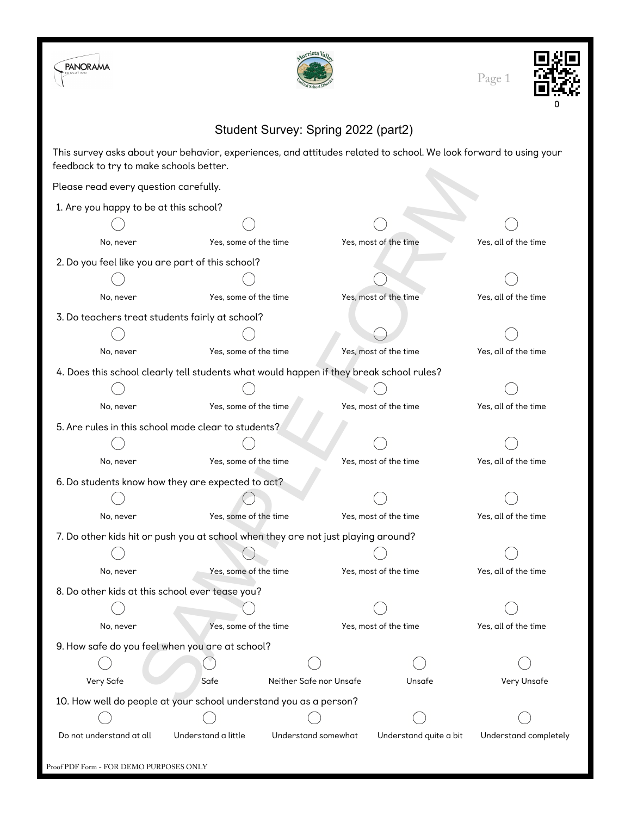| <b>PANORAMA</b>                                                                                                                                              |                                                  |                         |                        | Page 1                |
|--------------------------------------------------------------------------------------------------------------------------------------------------------------|--------------------------------------------------|-------------------------|------------------------|-----------------------|
| Student Survey: Spring 2022 (part2)                                                                                                                          |                                                  |                         |                        |                       |
| This survey asks about your behavior, experiences, and attitudes related to school. We look forward to using your<br>feedback to try to make schools better. |                                                  |                         |                        |                       |
| Please read every question carefully.                                                                                                                        |                                                  |                         |                        |                       |
| 1. Are you happy to be at this school?                                                                                                                       |                                                  |                         |                        |                       |
|                                                                                                                                                              |                                                  |                         |                        |                       |
| No, never                                                                                                                                                    | Yes, some of the time                            |                         | Yes, most of the time  | Yes, all of the time  |
|                                                                                                                                                              | 2. Do you feel like you are part of this school? |                         |                        |                       |
|                                                                                                                                                              |                                                  |                         |                        |                       |
| No, never                                                                                                                                                    | Yes, some of the time                            |                         | Yes, most of the time  | Yes, all of the time  |
| 3. Do teachers treat students fairly at school?                                                                                                              |                                                  |                         |                        |                       |
|                                                                                                                                                              |                                                  |                         |                        |                       |
| No, never                                                                                                                                                    | Yes, some of the time                            |                         | Yes, most of the time  | Yes, all of the time  |
| 4. Does this school clearly tell students what would happen if they break school rules?                                                                      |                                                  |                         |                        |                       |
|                                                                                                                                                              |                                                  |                         |                        |                       |
| No, never                                                                                                                                                    | Yes, some of the time                            |                         | Yes, most of the time  | Yes, all of the time  |
| 5. Are rules in this school made clear to students?                                                                                                          |                                                  |                         |                        |                       |
|                                                                                                                                                              |                                                  |                         |                        |                       |
| No, never                                                                                                                                                    | Yes, some of the time                            |                         | Yes, most of the time  | Yes, all of the time  |
| 6. Do students know how they are expected to act?                                                                                                            |                                                  |                         |                        |                       |
|                                                                                                                                                              |                                                  |                         |                        |                       |
| No, never                                                                                                                                                    | Yes, some of the time                            |                         | Yes, most of the time  | Yes, all of the time  |
| 7. Do other kids hit or push you at school when they are not just playing around?                                                                            |                                                  |                         |                        |                       |
|                                                                                                                                                              |                                                  |                         |                        |                       |
| No, never                                                                                                                                                    | Yes, some of the time                            |                         | Yes, most of the time  | Yes, all of the time  |
| 8. Do other kids at this school ever tease you?                                                                                                              |                                                  |                         |                        |                       |
|                                                                                                                                                              |                                                  |                         |                        |                       |
| No, never                                                                                                                                                    | Yes, some of the time                            |                         | Yes, most of the time  | Yes, all of the time  |
| 9. How safe do you feel when you are at school?                                                                                                              |                                                  |                         |                        |                       |
|                                                                                                                                                              |                                                  |                         |                        |                       |
| Very Safe                                                                                                                                                    | Safe                                             | Neither Safe nor Unsafe |                        | Very Unsafe           |
| 10. How well do people at your school understand you as a person?                                                                                            |                                                  |                         |                        |                       |
|                                                                                                                                                              |                                                  |                         |                        |                       |
| Do not understand at all                                                                                                                                     | Understand a little                              | Understand somewhat     | Understand quite a bit | Understand completely |

Proof PDF Form - FOR DEMO PURPOSES ONLY